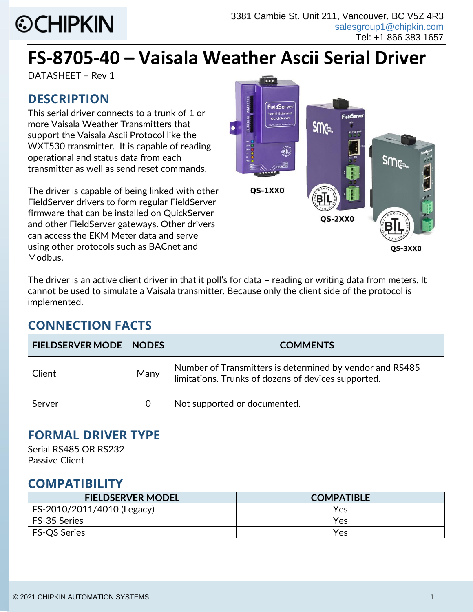# **©CHIPKIN**

# **FS-8705-40 – Vaisala Weather Ascii Serial Driver**

DATASHEET – Rev 1

# **DESCRIPTION**

This serial driver connects to a trunk of 1 or more Vaisala Weather Transmitters that support the Vaisala Ascii Protocol like the WXT530 transmitter. It is capable of reading operational and status data from each transmitter as well as send reset commands.

The driver is capable of being linked with other FieldServer drivers to form regular FieldServer firmware that can be installed on QuickServer and other FieldServer gateways. Other drivers can access the EKM Meter data and serve using other protocols such as BACnet and Modbus.



QS-3XX0

The driver is an active client driver in that it poll's for data – reading or writing data from meters. It cannot be used to simulate a Vaisala transmitter. Because only the client side of the protocol is implemented.

# **CONNECTION FACTS**

| <b>FIELDSERVER MODE</b> | <b>NODES</b> | <b>COMMENTS</b>                                                                                                 |  |
|-------------------------|--------------|-----------------------------------------------------------------------------------------------------------------|--|
| Client                  | Many         | Number of Transmitters is determined by vendor and RS485<br>limitations. Trunks of dozens of devices supported. |  |
| Server                  | $\mathbf 0$  | Not supported or documented.                                                                                    |  |

#### **FORMAL DRIVER TYPE**

Serial RS485 OR RS232 Passive Client

#### **COMPATIBILITY**

| <b>FIELDSERVER MODEL</b>   | <b>COMPATIBLE</b> |
|----------------------------|-------------------|
| FS-2010/2011/4010 (Legacy) | Yes               |
| FS-35 Series               | Yes               |
| <b>FS-QS Series</b>        | Yes               |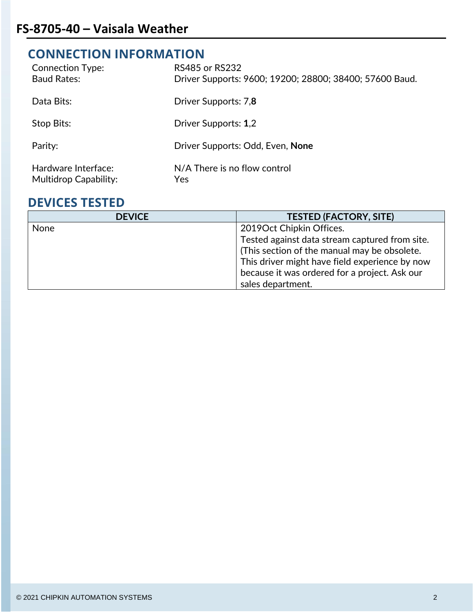# **CONNECTION INFORMATION**

| <b>Connection Type:</b><br><b>Baud Rates:</b>       | <b>RS485 or RS232</b><br>Driver Supports: 9600; 19200; 28800; 38400; 57600 Baud. |
|-----------------------------------------------------|----------------------------------------------------------------------------------|
| Data Bits:                                          | Driver Supports: 7,8                                                             |
| Stop Bits:                                          | Driver Supports: 1,2                                                             |
| Parity:                                             | Driver Supports: Odd, Even, None                                                 |
| Hardware Interface:<br><b>Multidrop Capability:</b> | N/A There is no flow control<br>Yes                                              |

#### **DEVICES TESTED**

| <b>DEVICE</b> | <b>TESTED (FACTORY, SITE)</b>                  |
|---------------|------------------------------------------------|
| <b>None</b>   | 2019 Oct Chipkin Offices.                      |
|               | Tested against data stream captured from site. |
|               | (This section of the manual may be obsolete.   |
|               | This driver might have field experience by now |
|               | because it was ordered for a project. Ask our  |
|               | sales department.                              |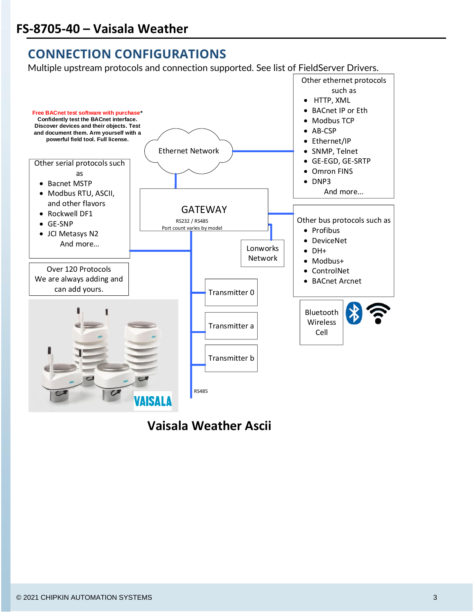# **CONNECTION CONFIGURATIONS**

Multiple upstream protocols and connection supported. See list of FieldServer Drivers.



**Vaisala Weather Ascii**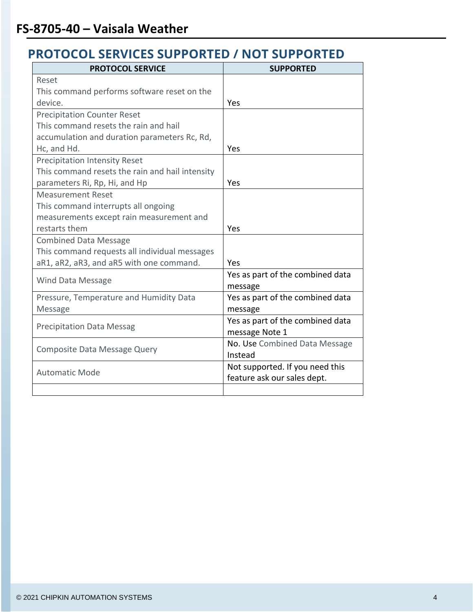## **PROTOCOL SERVICES SUPPORTED / NOT SUPPORTED**

| <b>PROTOCOL SERVICE</b>                         | <b>SUPPORTED</b>                 |  |
|-------------------------------------------------|----------------------------------|--|
| Reset                                           |                                  |  |
| This command performs software reset on the     |                                  |  |
| device.                                         | Yes                              |  |
| <b>Precipitation Counter Reset</b>              |                                  |  |
| This command resets the rain and hail           |                                  |  |
| accumulation and duration parameters Rc, Rd,    |                                  |  |
| Hc, and Hd.                                     | Yes                              |  |
| <b>Precipitation Intensity Reset</b>            |                                  |  |
| This command resets the rain and hail intensity |                                  |  |
| parameters Ri, Rp, Hi, and Hp                   | Yes                              |  |
| <b>Measurement Reset</b>                        |                                  |  |
| This command interrupts all ongoing             |                                  |  |
| measurements except rain measurement and        |                                  |  |
| restarts them                                   | Yes                              |  |
| <b>Combined Data Message</b>                    |                                  |  |
| This command requests all individual messages   |                                  |  |
| aR1, aR2, aR3, and aR5 with one command.        | Yes                              |  |
| <b>Wind Data Message</b>                        | Yes as part of the combined data |  |
|                                                 | message                          |  |
| Pressure, Temperature and Humidity Data         | Yes as part of the combined data |  |
| <b>Message</b>                                  | message                          |  |
| <b>Precipitation Data Messag</b>                | Yes as part of the combined data |  |
|                                                 | message Note 1                   |  |
| Composite Data Message Query                    | No. Use Combined Data Message    |  |
|                                                 | Instead                          |  |
| <b>Automatic Mode</b>                           | Not supported. If you need this  |  |
|                                                 | feature ask our sales dept.      |  |
|                                                 |                                  |  |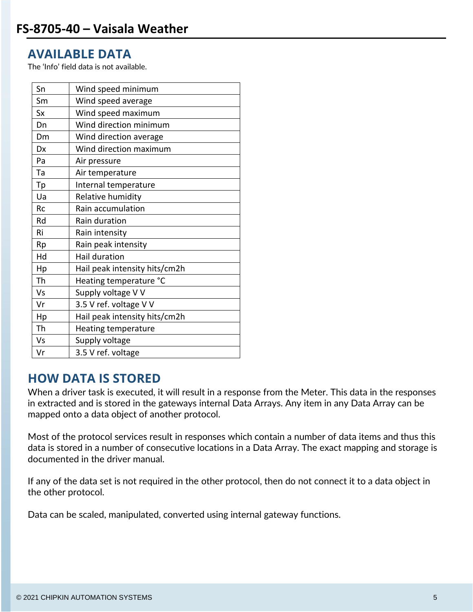#### **AVAILABLE DATA**

The 'Info' field data is not available.

| Sn        | Wind speed minimum            |
|-----------|-------------------------------|
| Sm        | Wind speed average            |
| <b>Sx</b> | Wind speed maximum            |
| Dn        | Wind direction minimum        |
| Dm        | Wind direction average        |
| Dx        | Wind direction maximum        |
| Pa        | Air pressure                  |
| Ta        | Air temperature               |
| Тp        | Internal temperature          |
| Ua        | Relative humidity             |
| <b>Rc</b> | Rain accumulation             |
| Rd        | Rain duration                 |
| Ri        | Rain intensity                |
| Rp        | Rain peak intensity           |
| Hd        | Hail duration                 |
| Hp        | Hail peak intensity hits/cm2h |
| Th        | Heating temperature °C        |
| Vs        | Supply voltage V V            |
| Vr        | 3.5 V ref. voltage V V        |
| Hp        | Hail peak intensity hits/cm2h |
| Th        | <b>Heating temperature</b>    |
| Vs        | Supply voltage                |
| Vr        | 3.5 V ref. voltage            |

#### **HOW DATA IS STORED**

When a driver task is executed, it will result in a response from the Meter. This data in the responses in extracted and is stored in the gateways internal Data Arrays. Any item in any Data Array can be mapped onto a data object of another protocol.

Most of the protocol services result in responses which contain a number of data items and thus this data is stored in a number of consecutive locations in a Data Array. The exact mapping and storage is documented in the driver manual.

If any of the data set is not required in the other protocol, then do not connect it to a data object in the other protocol.

Data can be scaled, manipulated, converted using internal gateway functions.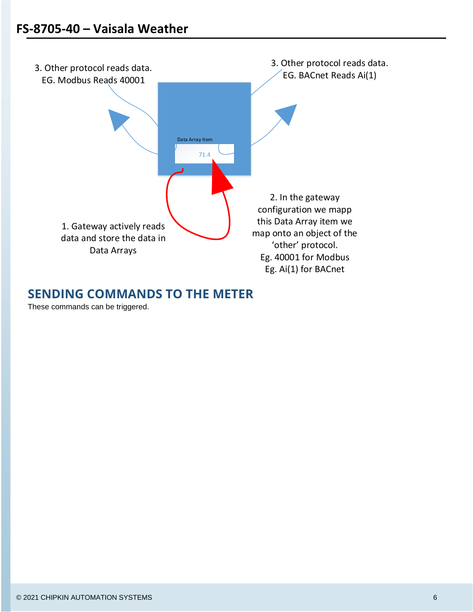

#### **SENDING COMMANDS TO THE METER**

These commands can be triggered.